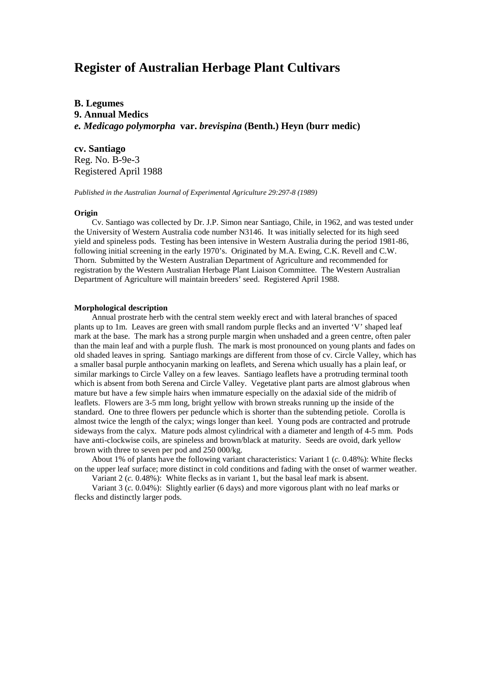# **Register of Australian Herbage Plant Cultivars**

**B. Legumes 9. Annual Medics** *e. Medicago polymorpha* **var.** *brevispina* **(Benth.) Heyn (burr medic)**

# **cv. Santiago**

Reg. No. B-9e-3 Registered April 1988

*Published in the Australian Journal of Experimental Agriculture 29:297-8 (1989)*

# **Origin**

Cv. Santiago was collected by Dr. J.P. Simon near Santiago, Chile, in 1962, and was tested under the University of Western Australia code number N3146. It was initially selected for its high seed yield and spineless pods. Testing has been intensive in Western Australia during the period 1981-86, following initial screening in the early 1970's. Originated by M.A. Ewing, C.K. Revell and C.W. Thorn. Submitted by the Western Australian Department of Agriculture and recommended for registration by the Western Australian Herbage Plant Liaison Committee. The Western Australian Department of Agriculture will maintain breeders' seed. Registered April 1988.

#### **Morphological description**

Annual prostrate herb with the central stem weekly erect and with lateral branches of spaced plants up to 1m. Leaves are green with small random purple flecks and an inverted 'V' shaped leaf mark at the base. The mark has a strong purple margin when unshaded and a green centre, often paler than the main leaf and with a purple flush. The mark is most pronounced on young plants and fades on old shaded leaves in spring. Santiago markings are different from those of cv. Circle Valley, which has a smaller basal purple anthocyanin marking on leaflets, and Serena which usually has a plain leaf, or similar markings to Circle Valley on a few leaves. Santiago leaflets have a protruding terminal tooth which is absent from both Serena and Circle Valley. Vegetative plant parts are almost glabrous when mature but have a few simple hairs when immature especially on the adaxial side of the midrib of leaflets. Flowers are 3-5 mm long, bright yellow with brown streaks running up the inside of the standard. One to three flowers per peduncle which is shorter than the subtending petiole. Corolla is almost twice the length of the calyx; wings longer than keel. Young pods are contracted and protrude sideways from the calyx. Mature pods almost cylindrical with a diameter and length of 4-5 mm. Pods have anti-clockwise coils, are spineless and brown/black at maturity. Seeds are ovoid, dark yellow brown with three to seven per pod and 250 000/kg.

About 1% of plants have the following variant characteristics: Variant 1 (*c.* 0.48%): White flecks on the upper leaf surface; more distinct in cold conditions and fading with the onset of warmer weather.

Variant 2 (*c.* 0.48%): White flecks as in variant 1, but the basal leaf mark is absent.

Variant 3 (*c.* 0.04%): Slightly earlier (6 days) and more vigorous plant with no leaf marks or flecks and distinctly larger pods.